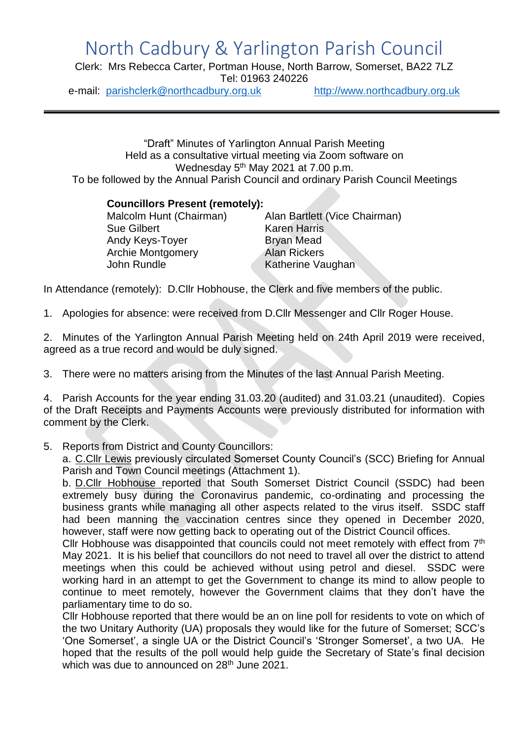## North Cadbury & Yarlington Parish Council

Clerk: Mrs Rebecca Carter, Portman House, North Barrow, Somerset, BA22 7LZ Tel: 01963 240226

e-mail: [parishclerk@northcadbury.org.uk](mailto:parishclerk@northcadbury.org.uk) [http://www.northcadbury.org.uk](http://www.northcadbury.org.uk/)

"Draft" Minutes of Yarlington Annual Parish Meeting Held as a consultative virtual meeting via Zoom software on Wednesday 5<sup>th</sup> May 2021 at 7.00 p.m. To be followed by the Annual Parish Council and ordinary Parish Council Meetings

## **Councillors Present (remotely):**

| Alan Bartlett (Vice Chairman) |
|-------------------------------|
| <b>Karen Harris</b>           |
| <b>Bryan Mead</b>             |
| <b>Alan Rickers</b>           |
| Katherine Vaughan             |
|                               |

In Attendance (remotely): D.Cllr Hobhouse, the Clerk and five members of the public.

1. Apologies for absence: were received from D.Cllr Messenger and Cllr Roger House.

2. Minutes of the Yarlington Annual Parish Meeting held on 24th April 2019 were received, agreed as a true record and would be duly signed.

3. There were no matters arising from the Minutes of the last Annual Parish Meeting.

4. Parish Accounts for the year ending 31.03.20 (audited) and 31.03.21 (unaudited). Copies of the Draft Receipts and Payments Accounts were previously distributed for information with comment by the Clerk.

5. Reports from District and County Councillors:

a. C.Cllr Lewis previously circulated Somerset County Council's (SCC) Briefing for Annual Parish and Town Council meetings (Attachment 1).

b. D.Cllr Hobhouse reported that South Somerset District Council (SSDC) had been extremely busy during the Coronavirus pandemic, co-ordinating and processing the business grants while managing all other aspects related to the virus itself. SSDC staff had been manning the vaccination centres since they opened in December 2020, however, staff were now getting back to operating out of the District Council offices.

Cllr Hobhouse was disappointed that councils could not meet remotely with effect from 7<sup>th</sup> May 2021. It is his belief that councillors do not need to travel all over the district to attend meetings when this could be achieved without using petrol and diesel. SSDC were working hard in an attempt to get the Government to change its mind to allow people to continue to meet remotely, however the Government claims that they don't have the parliamentary time to do so.

Cllr Hobhouse reported that there would be an on line poll for residents to vote on which of the two Unitary Authority (UA) proposals they would like for the future of Somerset; SCC's 'One Somerset', a single UA or the District Council's 'Stronger Somerset', a two UA. He hoped that the results of the poll would help guide the Secretary of State's final decision which was due to announced on 28<sup>th</sup> June 2021.